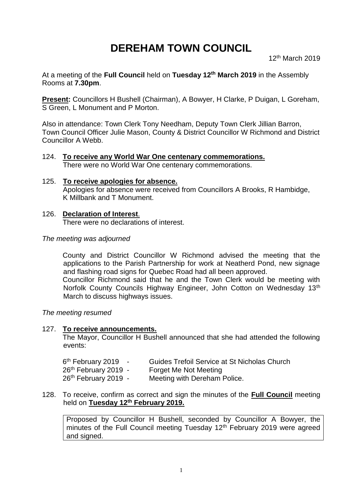# **DEREHAM TOWN COUNCIL**

12th March 2019

At a meeting of the **Full Council** held on **Tuesday 12th March 2019** in the Assembly Rooms at **7.30pm**.

**Present:** Councillors H Bushell (Chairman), A Bowyer, H Clarke, P Duigan, L Goreham, S Green, L Monument and P Morton.

Also in attendance: Town Clerk Tony Needham, Deputy Town Clerk Jillian Barron, Town Council Officer Julie Mason, County & District Councillor W Richmond and District Councillor A Webb.

- 124. **To receive any World War One centenary commemorations.** There were no World War One centenary commemorations.
- 125. **To receive apologies for absence.** Apologies for absence were received from Councillors A Brooks, R Hambidge, K Millbank and T Monument.

#### 126. **Declaration of Interest**.

There were no declarations of interest.

#### *The meeting was adjourned*

County and District Councillor W Richmond advised the meeting that the applications to the Parish Partnership for work at Neatherd Pond, new signage and flashing road signs for Quebec Road had all been approved.

Councillor Richmond said that he and the Town Clerk would be meeting with Norfolk County Councils Highway Engineer, John Cotton on Wednesday 13<sup>th</sup> March to discuss highways issues.

*The meeting resumed*

#### 127. **To receive announcements.**

The Mayor, Councillor H Bushell announced that she had attended the following events:

| 6 <sup>th</sup> February 2019 | Guides Trefoil Service at St Nicholas Church |
|-------------------------------|----------------------------------------------|
| 26th February 2019 -          | Forget Me Not Meeting                        |
| 26th February 2019 -          | Meeting with Dereham Police.                 |

128. To receive, confirm as correct and sign the minutes of the **Full Council** meeting held on **Tuesday 12th February 2019.**

Proposed by Councillor H Bushell, seconded by Councillor A Bowyer, the minutes of the Full Council meeting Tuesday 12<sup>th</sup> February 2019 were agreed and signed.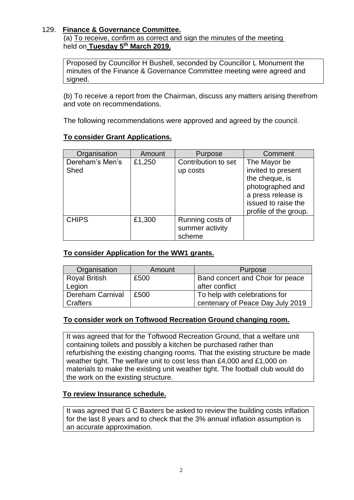## 129. **Finance & Governance Committee.**

(a) To receive, confirm as correct and sign the minutes of the meeting held on **Tuesday 5 th March 2019.**

Proposed by Councillor H Bushell, seconded by Councillor L Monument the minutes of the Finance & Governance Committee meeting were agreed and signed.

(b) To receive a report from the Chairman, discuss any matters arising therefrom and vote on recommendations.

The following recommendations were approved and agreed by the council.

## **To consider Grant Applications.**

| Organisation            | Amount | Purpose                                       | Comment                                                                                                                                        |
|-------------------------|--------|-----------------------------------------------|------------------------------------------------------------------------------------------------------------------------------------------------|
| Dereham's Men's<br>Shed | £1,250 | Contribution to set<br>up costs               | The Mayor be<br>invited to present<br>the cheque, is<br>photographed and<br>a press release is<br>issued to raise the<br>profile of the group. |
| <b>CHIPS</b>            | £1,300 | Running costs of<br>summer activity<br>scheme |                                                                                                                                                |

#### **To consider Application for the WW1 grants.**

| Organisation         | Amount | <b>Purpose</b>                   |
|----------------------|--------|----------------------------------|
| <b>Royal British</b> | £500   | Band concert and Choir for peace |
| Legion               |        | after conflict                   |
| Dereham Carnival     | £500   | To help with celebrations for    |
| Crafters             |        | centenary of Peace Day July 2019 |

#### **To consider work on Toftwood Recreation Ground changing room.**

It was agreed that for the Toftwood Recreation Ground, that a welfare unit containing toilets and possibly a kitchen be purchased rather than refurbishing the existing changing rooms. That the existing structure be made weather tight. The welfare unit to cost less than £4,000 and £1,000 on materials to make the existing unit weather tight. The football club would do the work on the existing structure.

#### **To review Insurance schedule.**

It was agreed that G C Baxters be asked to review the building costs inflation for the last 8 years and to check that the 3% annual inflation assumption is an accurate approximation.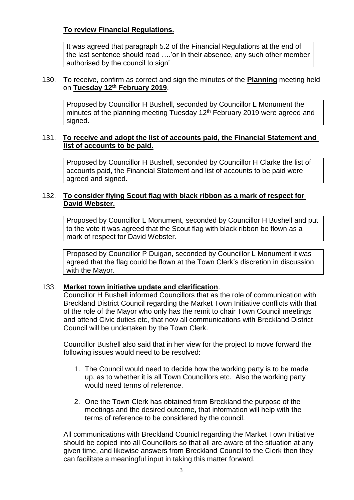# **To review Financial Regulations.**

It was agreed that paragraph 5.2 of the Financial Regulations at the end of the last sentence should read ….'or in their absence, any such other member authorised by the council to sign'

#### 130. To receive, confirm as correct and sign the minutes of the **Planning** meeting held on **Tuesday 12 th February 2019**.

Proposed by Councillor H Bushell, seconded by Councillor L Monument the minutes of the planning meeting Tuesday 12<sup>th</sup> February 2019 were agreed and signed.

## 131. **To receive and adopt the list of accounts paid, the Financial Statement and list of accounts to be paid.**

Proposed by Councillor H Bushell, seconded by Councillor H Clarke the list of accounts paid, the Financial Statement and list of accounts to be paid were agreed and signed.

#### 132. **To consider flying Scout flag with black ribbon as a mark of respect for David Webster.**

Proposed by Councillor L Monument, seconded by Councillor H Bushell and put to the vote it was agreed that the Scout flag with black ribbon be flown as a mark of respect for David Webster.

Proposed by Councillor P Duigan, seconded by Councillor L Monument it was agreed that the flag could be flown at the Town Clerk's discretion in discussion with the Mayor.

#### 133. **Market town initiative update and clarification**.

Councillor H Bushell informed Councillors that as the role of communication with Breckland District Council regarding the Market Town Initiative conflicts with that of the role of the Mayor who only has the remit to chair Town Council meetings and attend Civic duties etc, that now all communications with Breckland District Council will be undertaken by the Town Clerk.

Councillor Bushell also said that in her view for the project to move forward the following issues would need to be resolved:

- 1. The Council would need to decide how the working party is to be made up, as to whether it is all Town Councillors etc. Also the working party would need terms of reference.
- 2. One the Town Clerk has obtained from Breckland the purpose of the meetings and the desired outcome, that information will help with the terms of reference to be considered by the council.

All communications with Breckland Counicl regarding the Market Town Initiative should be copied into all Councillors so that all are aware of the situation at any given time, and likewise answers from Breckland Council to the Clerk then they can facilitate a meaningful input in taking this matter forward.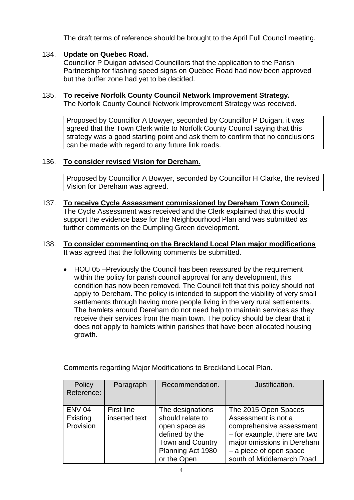The draft terms of reference should be brought to the April Full Council meeting.

# 134. **Update on Quebec Road.**

Councillor P Duigan advised Councillors that the application to the Parish Partnership for flashing speed signs on Quebec Road had now been approved but the buffer zone had yet to be decided.

#### 135. **To receive Norfolk County Council Network Improvement Strategy.** The Norfolk County Council Network Improvement Strategy was received.

Proposed by Councillor A Bowyer, seconded by Councillor P Duigan, it was agreed that the Town Clerk write to Norfolk County Council saying that this strategy was a good starting point and ask them to confirm that no conclusions can be made with regard to any future link roads.

## 136. **To consider revised Vision for Dereham.**

Proposed by Councillor A Bowyer, seconded by Councillor H Clarke, the revised Vision for Dereham was agreed.

137. **To receive Cycle Assessment commissioned by Dereham Town Council.** The Cycle Assessment was received and the Clerk explained that this would support the evidence base for the Neighbourhood Plan and was submitted as further comments on the Dumpling Green development.

#### 138. **To consider commenting on the Breckland Local Plan major modifications** It was agreed that the following comments be submitted.

• HOU 05 – Previously the Council has been reassured by the requirement within the policy for parish council approval for any development, this condition has now been removed. The Council felt that this policy should not apply to Dereham. The policy is intended to support the viability of very small settlements through having more people living in the very rural settlements. The hamlets around Dereham do not need help to maintain services as they receive their services from the main town. The policy should be clear that it does not apply to hamlets within parishes that have been allocated housing growth.

| Policy<br>Reference:                   | Paragraph                          | Recommendation.                                                                                                                        | Justification.                                                                                                                                                                                |
|----------------------------------------|------------------------------------|----------------------------------------------------------------------------------------------------------------------------------------|-----------------------------------------------------------------------------------------------------------------------------------------------------------------------------------------------|
| <b>ENV 04</b><br>Existing<br>Provision | <b>First line</b><br>inserted text | The designations<br>should relate to<br>open space as<br>defined by the<br><b>Town and Country</b><br>Planning Act 1980<br>or the Open | The 2015 Open Spaces<br>Assessment is not a<br>comprehensive assessment<br>- for example, there are two<br>major omissions in Dereham<br>- a piece of open space<br>south of Middlemarch Road |

Comments regarding Major Modifications to Breckland Local Plan.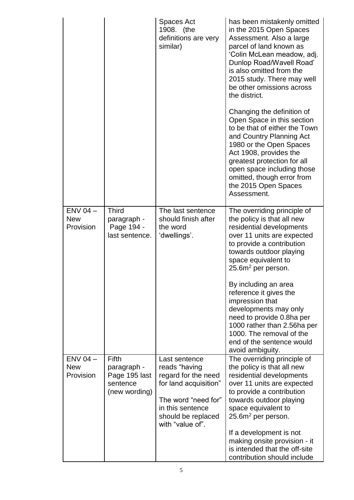|                                         |                                                                    | Spaces Act<br>1908. (the<br>definitions are very<br>similar)                                                                                                        | has been mistakenly omitted<br>in the 2015 Open Spaces<br>Assessment. Also a large<br>parcel of land known as<br>'Colin McLean meadow, adj.<br>Dunlop Road/Wavell Road'<br>is also omitted from the<br>2015 study. There may well<br>be other omissions across<br>the district.<br>Changing the definition of<br>Open Space in this section<br>to be that of either the Town<br>and Country Planning Act<br>1980 or the Open Spaces<br>Act 1908, provides the<br>greatest protection for all<br>open space including those |
|-----------------------------------------|--------------------------------------------------------------------|---------------------------------------------------------------------------------------------------------------------------------------------------------------------|----------------------------------------------------------------------------------------------------------------------------------------------------------------------------------------------------------------------------------------------------------------------------------------------------------------------------------------------------------------------------------------------------------------------------------------------------------------------------------------------------------------------------|
|                                         |                                                                    |                                                                                                                                                                     | omitted, though error from<br>the 2015 Open Spaces<br>Assessment.                                                                                                                                                                                                                                                                                                                                                                                                                                                          |
| $ENV 04 -$<br><b>New</b><br>Provision   | <b>Third</b><br>paragraph -<br>Page 194 -<br>last sentence.        | The last sentence<br>should finish after<br>the word<br>'dwellings'.                                                                                                | The overriding principle of<br>the policy is that all new<br>residential developments<br>over 11 units are expected<br>to provide a contribution<br>towards outdoor playing<br>space equivalent to<br>25.6 $m2$ per person.                                                                                                                                                                                                                                                                                                |
|                                         |                                                                    |                                                                                                                                                                     | By including an area<br>reference it gives the<br>impression that<br>developments may only<br>need to provide 0.8ha per<br>1000 rather than 2.56ha per<br>1000. The removal of the<br>end of the sentence would<br>avoid ambiguity.                                                                                                                                                                                                                                                                                        |
| $ENV$ 04 $-$<br><b>New</b><br>Provision | Fifth<br>paragraph -<br>Page 195 last<br>sentence<br>(new wording) | Last sentence<br>reads "having<br>regard for the need<br>for land acquisition"<br>The word "need for"<br>in this sentence<br>should be replaced<br>with "value of". | The overriding principle of<br>the policy is that all new<br>residential developments<br>over 11 units are expected<br>to provide a contribution<br>towards outdoor playing<br>space equivalent to<br>25.6m <sup>2</sup> per person.                                                                                                                                                                                                                                                                                       |
|                                         |                                                                    |                                                                                                                                                                     | If a development is not<br>making onsite provision - it<br>is intended that the off-site<br>contribution should include                                                                                                                                                                                                                                                                                                                                                                                                    |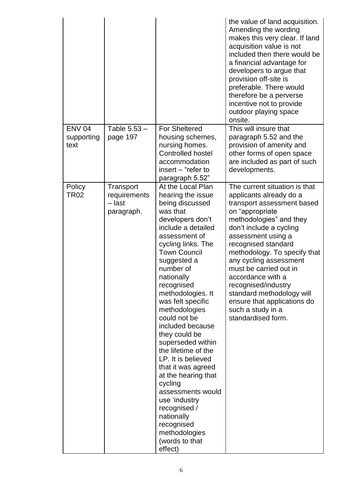|                                     |                                                   |                                                                                                                                                                                                                                                                                                                                                                                                                                                                                                                                                                                                                 | the value of land acquisition.<br>Amending the wording<br>makes this very clear. If land<br>acquisition value is not<br>included then there would be<br>a financial advantage for<br>developers to argue that<br>provision off-site is<br>preferable. There would<br>therefore be a perverse<br>incentive not to provide<br>outdoor playing space<br>onsite.                                                                                        |
|-------------------------------------|---------------------------------------------------|-----------------------------------------------------------------------------------------------------------------------------------------------------------------------------------------------------------------------------------------------------------------------------------------------------------------------------------------------------------------------------------------------------------------------------------------------------------------------------------------------------------------------------------------------------------------------------------------------------------------|-----------------------------------------------------------------------------------------------------------------------------------------------------------------------------------------------------------------------------------------------------------------------------------------------------------------------------------------------------------------------------------------------------------------------------------------------------|
| <b>ENV 04</b><br>supporting<br>text | Table 5.53 -<br>page 197                          | <b>For Sheltered</b><br>housing schemes,<br>nursing homes.<br><b>Controlled hostel</b><br>accommodation<br>insert – "refer to<br>paragraph 5.52"                                                                                                                                                                                                                                                                                                                                                                                                                                                                | This will insure that<br>paragraph 5.52 and the<br>provision of amenity and<br>other forms of open space<br>are included as part of such<br>developments.                                                                                                                                                                                                                                                                                           |
| Policy<br><b>TR02</b>               | Transport<br>requirements<br>- last<br>paragraph. | At the Local Plan<br>hearing the issue<br>being discussed<br>was that<br>developers don't<br>include a detailed<br>assessment of<br>cycling links. The<br><b>Town Council</b><br>suggested a<br>number of<br>nationally<br>recognised<br>methodologies. It<br>was felt specific<br>methodologies<br>could not be<br>included because<br>they could be<br>superseded within<br>the lifetime of the<br>LP. It is believed<br>that it was agreed<br>at the hearing that<br>cycling<br>assessments would<br>use 'industry<br>recognised /<br>nationally<br>recognised<br>methodologies<br>(words to that<br>effect) | The current situation is that<br>applicants already do a<br>transport assessment based<br>on "appropriate<br>methodologies" and they<br>don't include a cycling<br>assessment using a<br>recognised standard<br>methodology. To specify that<br>any cycling assessment<br>must be carried out in<br>accordance with a<br>recognised/industry<br>standard methodology will<br>ensure that applications do<br>such a study in a<br>standardised form. |